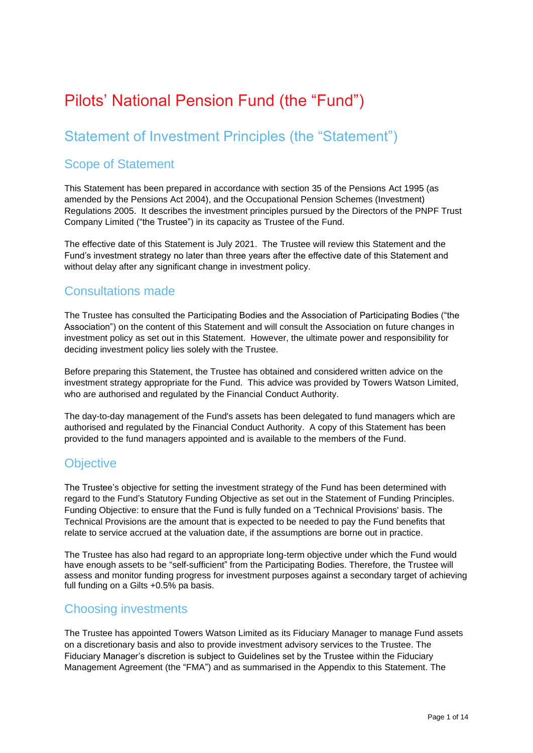# Pilots' National Pension Fund (the "Fund")

## Statement of Investment Principles (the "Statement")

## Scope of Statement

This Statement has been prepared in accordance with section 35 of the Pensions Act 1995 (as amended by the Pensions Act 2004), and the Occupational Pension Schemes (Investment) Regulations 2005. It describes the investment principles pursued by the Directors of the PNPF Trust Company Limited ("the Trustee") in its capacity as Trustee of the Fund.

The effective date of this Statement is July 2021. The Trustee will review this Statement and the Fund's investment strategy no later than three years after the effective date of this Statement and without delay after any significant change in investment policy.

### Consultations made

The Trustee has consulted the Participating Bodies and the Association of Participating Bodies ("the Association") on the content of this Statement and will consult the Association on future changes in investment policy as set out in this Statement. However, the ultimate power and responsibility for deciding investment policy lies solely with the Trustee.

Before preparing this Statement, the Trustee has obtained and considered written advice on the investment strategy appropriate for the Fund. This advice was provided by Towers Watson Limited, who are authorised and regulated by the Financial Conduct Authority.

The day-to-day management of the Fund's assets has been delegated to fund managers which are authorised and regulated by the Financial Conduct Authority. A copy of this Statement has been provided to the fund managers appointed and is available to the members of the Fund.

### **Objective**

The Trustee's objective for setting the investment strategy of the Fund has been determined with regard to the Fund's Statutory Funding Objective as set out in the Statement of Funding Principles. Funding Objective: to ensure that the Fund is fully funded on a 'Technical Provisions' basis. The Technical Provisions are the amount that is expected to be needed to pay the Fund benefits that relate to service accrued at the valuation date, if the assumptions are borne out in practice.

The Trustee has also had regard to an appropriate long-term objective under which the Fund would have enough assets to be "self-sufficient" from the Participating Bodies. Therefore, the Trustee will assess and monitor funding progress for investment purposes against a secondary target of achieving full funding on a Gilts +0.5% pa basis.

### Choosing investments

The Trustee has appointed Towers Watson Limited as its Fiduciary Manager to manage Fund assets on a discretionary basis and also to provide investment advisory services to the Trustee. The Fiduciary Manager's discretion is subject to Guidelines set by the Trustee within the Fiduciary Management Agreement (the "FMA") and as summarised in the Appendix to this Statement. The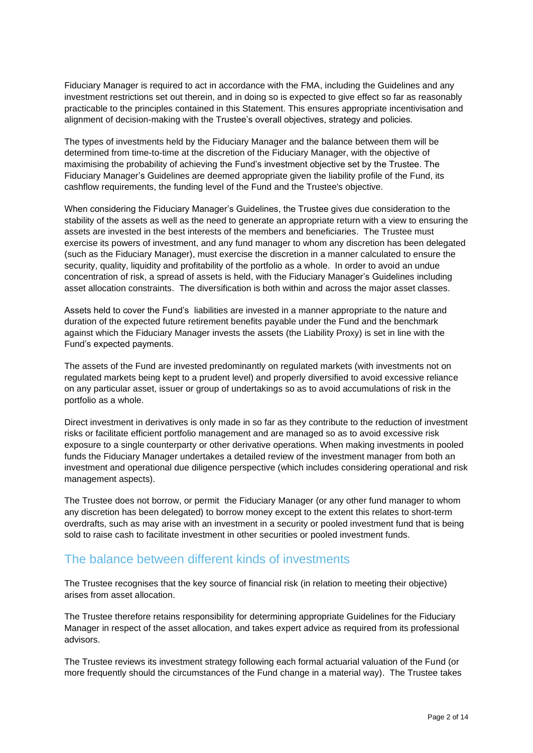Fiduciary Manager is required to act in accordance with the FMA, including the Guidelines and any investment restrictions set out therein, and in doing so is expected to give effect so far as reasonably practicable to the principles contained in this Statement. This ensures appropriate incentivisation and alignment of decision-making with the Trustee's overall objectives, strategy and policies.

The types of investments held by the Fiduciary Manager and the balance between them will be determined from time-to-time at the discretion of the Fiduciary Manager, with the objective of maximising the probability of achieving the Fund's investment objective set by the Trustee. The Fiduciary Manager's Guidelines are deemed appropriate given the liability profile of the Fund, its cashflow requirements, the funding level of the Fund and the Trustee's objective.

When considering the Fiduciary Manager's Guidelines, the Trustee gives due consideration to the stability of the assets as well as the need to generate an appropriate return with a view to ensuring the assets are invested in the best interests of the members and beneficiaries. The Trustee must exercise its powers of investment, and any fund manager to whom any discretion has been delegated (such as the Fiduciary Manager), must exercise the discretion in a manner calculated to ensure the security, quality, liquidity and profitability of the portfolio as a whole. In order to avoid an undue concentration of risk, a spread of assets is held, with the Fiduciary Manager's Guidelines including asset allocation constraints. The diversification is both within and across the major asset classes.

Assets held to cover the Fund's liabilities are invested in a manner appropriate to the nature and duration of the expected future retirement benefits payable under the Fund and the benchmark against which the Fiduciary Manager invests the assets (the Liability Proxy) is set in line with the Fund's expected payments.

The assets of the Fund are invested predominantly on regulated markets (with investments not on regulated markets being kept to a prudent level) and properly diversified to avoid excessive reliance on any particular asset, issuer or group of undertakings so as to avoid accumulations of risk in the portfolio as a whole.

Direct investment in derivatives is only made in so far as they contribute to the reduction of investment risks or facilitate efficient portfolio management and are managed so as to avoid excessive risk exposure to a single counterparty or other derivative operations. When making investments in pooled funds the Fiduciary Manager undertakes a detailed review of the investment manager from both an investment and operational due diligence perspective (which includes considering operational and risk management aspects).

The Trustee does not borrow, or permit the Fiduciary Manager (or any other fund manager to whom any discretion has been delegated) to borrow money except to the extent this relates to short-term overdrafts, such as may arise with an investment in a security or pooled investment fund that is being sold to raise cash to facilitate investment in other securities or pooled investment funds.

## The balance between different kinds of investments

The Trustee recognises that the key source of financial risk (in relation to meeting their objective) arises from asset allocation.

The Trustee therefore retains responsibility for determining appropriate Guidelines for the Fiduciary Manager in respect of the asset allocation, and takes expert advice as required from its professional advisors.

The Trustee reviews its investment strategy following each formal actuarial valuation of the Fund (or more frequently should the circumstances of the Fund change in a material way). The Trustee takes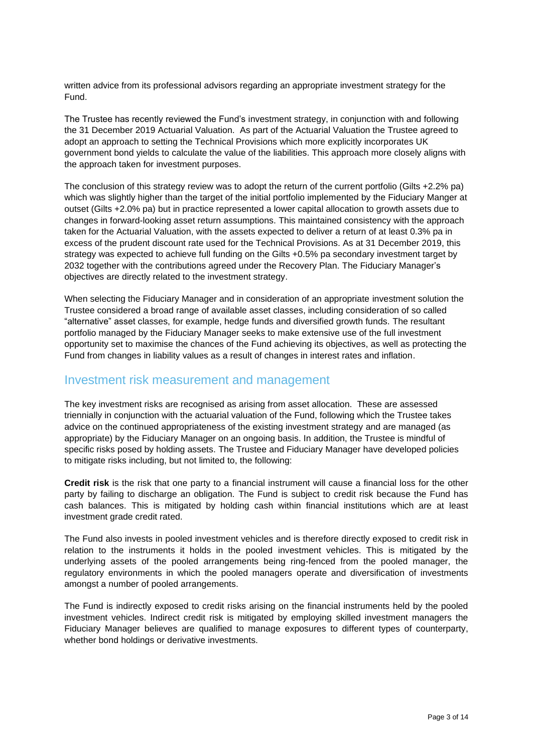written advice from its professional advisors regarding an appropriate investment strategy for the Fund.

The Trustee has recently reviewed the Fund's investment strategy, in conjunction with and following the 31 December 2019 Actuarial Valuation. As part of the Actuarial Valuation the Trustee agreed to adopt an approach to setting the Technical Provisions which more explicitly incorporates UK government bond yields to calculate the value of the liabilities. This approach more closely aligns with the approach taken for investment purposes.

The conclusion of this strategy review was to adopt the return of the current portfolio (Gilts +2.2% pa) which was slightly higher than the target of the initial portfolio implemented by the Fiduciary Manger at outset (Gilts +2.0% pa) but in practice represented a lower capital allocation to growth assets due to changes in forward-looking asset return assumptions. This maintained consistency with the approach taken for the Actuarial Valuation, with the assets expected to deliver a return of at least 0.3% pa in excess of the prudent discount rate used for the Technical Provisions. As at 31 December 2019, this strategy was expected to achieve full funding on the Gilts +0.5% pa secondary investment target by 2032 together with the contributions agreed under the Recovery Plan. The Fiduciary Manager's objectives are directly related to the investment strategy.

When selecting the Fiduciary Manager and in consideration of an appropriate investment solution the Trustee considered a broad range of available asset classes, including consideration of so called "alternative" asset classes, for example, hedge funds and diversified growth funds. The resultant portfolio managed by the Fiduciary Manager seeks to make extensive use of the full investment opportunity set to maximise the chances of the Fund achieving its objectives, as well as protecting the Fund from changes in liability values as a result of changes in interest rates and inflation.

### Investment risk measurement and management

The key investment risks are recognised as arising from asset allocation. These are assessed triennially in conjunction with the actuarial valuation of the Fund, following which the Trustee takes advice on the continued appropriateness of the existing investment strategy and are managed (as appropriate) by the Fiduciary Manager on an ongoing basis. In addition, the Trustee is mindful of specific risks posed by holding assets. The Trustee and Fiduciary Manager have developed policies to mitigate risks including, but not limited to, the following:

**Credit risk** is the risk that one party to a financial instrument will cause a financial loss for the other party by failing to discharge an obligation. The Fund is subject to credit risk because the Fund has cash balances. This is mitigated by holding cash within financial institutions which are at least investment grade credit rated.

The Fund also invests in pooled investment vehicles and is therefore directly exposed to credit risk in relation to the instruments it holds in the pooled investment vehicles. This is mitigated by the underlying assets of the pooled arrangements being ring-fenced from the pooled manager, the regulatory environments in which the pooled managers operate and diversification of investments amongst a number of pooled arrangements.

The Fund is indirectly exposed to credit risks arising on the financial instruments held by the pooled investment vehicles. Indirect credit risk is mitigated by employing skilled investment managers the Fiduciary Manager believes are qualified to manage exposures to different types of counterparty, whether bond holdings or derivative investments.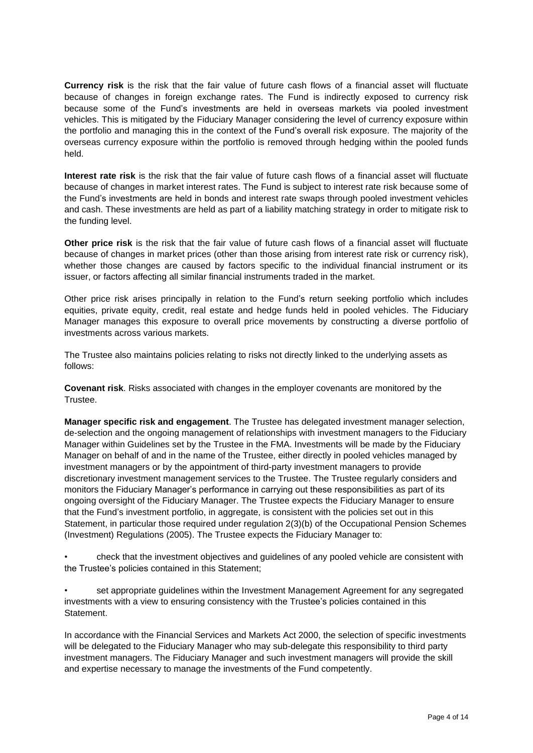**Currency risk** is the risk that the fair value of future cash flows of a financial asset will fluctuate because of changes in foreign exchange rates. The Fund is indirectly exposed to currency risk because some of the Fund's investments are held in overseas markets via pooled investment vehicles. This is mitigated by the Fiduciary Manager considering the level of currency exposure within the portfolio and managing this in the context of the Fund's overall risk exposure. The majority of the overseas currency exposure within the portfolio is removed through hedging within the pooled funds held.

**Interest rate risk** is the risk that the fair value of future cash flows of a financial asset will fluctuate because of changes in market interest rates. The Fund is subject to interest rate risk because some of the Fund's investments are held in bonds and interest rate swaps through pooled investment vehicles and cash. These investments are held as part of a liability matching strategy in order to mitigate risk to the funding level.

**Other price risk** is the risk that the fair value of future cash flows of a financial asset will fluctuate because of changes in market prices (other than those arising from interest rate risk or currency risk), whether those changes are caused by factors specific to the individual financial instrument or its issuer, or factors affecting all similar financial instruments traded in the market.

Other price risk arises principally in relation to the Fund's return seeking portfolio which includes equities, private equity, credit, real estate and hedge funds held in pooled vehicles. The Fiduciary Manager manages this exposure to overall price movements by constructing a diverse portfolio of investments across various markets.

The Trustee also maintains policies relating to risks not directly linked to the underlying assets as follows:

**Covenant risk**. Risks associated with changes in the employer covenants are monitored by the Trustee.

**Manager specific risk and engagement**. The Trustee has delegated investment manager selection, de-selection and the ongoing management of relationships with investment managers to the Fiduciary Manager within Guidelines set by the Trustee in the FMA. Investments will be made by the Fiduciary Manager on behalf of and in the name of the Trustee, either directly in pooled vehicles managed by investment managers or by the appointment of third-party investment managers to provide discretionary investment management services to the Trustee. The Trustee regularly considers and monitors the Fiduciary Manager's performance in carrying out these responsibilities as part of its ongoing oversight of the Fiduciary Manager. The Trustee expects the Fiduciary Manager to ensure that the Fund's investment portfolio, in aggregate, is consistent with the policies set out in this Statement, in particular those required under regulation 2(3)(b) of the Occupational Pension Schemes (Investment) Regulations (2005). The Trustee expects the Fiduciary Manager to:

• check that the investment objectives and guidelines of any pooled vehicle are consistent with the Trustee's policies contained in this Statement;

• set appropriate guidelines within the Investment Management Agreement for any segregated investments with a view to ensuring consistency with the Trustee's policies contained in this Statement.

In accordance with the Financial Services and Markets Act 2000, the selection of specific investments will be delegated to the Fiduciary Manager who may sub-delegate this responsibility to third party investment managers. The Fiduciary Manager and such investment managers will provide the skill and expertise necessary to manage the investments of the Fund competently.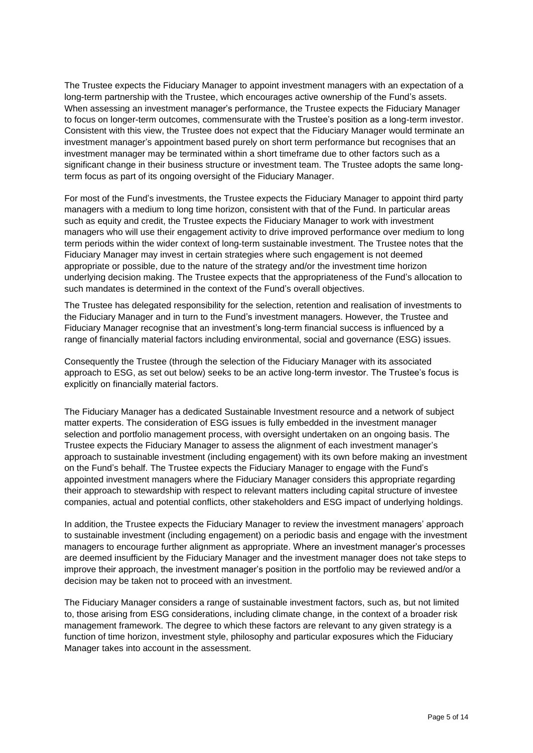The Trustee expects the Fiduciary Manager to appoint investment managers with an expectation of a long-term partnership with the Trustee, which encourages active ownership of the Fund's assets. When assessing an investment manager's performance, the Trustee expects the Fiduciary Manager to focus on longer-term outcomes, commensurate with the Trustee's position as a long-term investor. Consistent with this view, the Trustee does not expect that the Fiduciary Manager would terminate an investment manager's appointment based purely on short term performance but recognises that an investment manager may be terminated within a short timeframe due to other factors such as a significant change in their business structure or investment team. The Trustee adopts the same longterm focus as part of its ongoing oversight of the Fiduciary Manager.

For most of the Fund's investments, the Trustee expects the Fiduciary Manager to appoint third party managers with a medium to long time horizon, consistent with that of the Fund. In particular areas such as equity and credit, the Trustee expects the Fiduciary Manager to work with investment managers who will use their engagement activity to drive improved performance over medium to long term periods within the wider context of long-term sustainable investment. The Trustee notes that the Fiduciary Manager may invest in certain strategies where such engagement is not deemed appropriate or possible, due to the nature of the strategy and/or the investment time horizon underlying decision making. The Trustee expects that the appropriateness of the Fund's allocation to such mandates is determined in the context of the Fund's overall objectives.

The Trustee has delegated responsibility for the selection, retention and realisation of investments to the Fiduciary Manager and in turn to the Fund's investment managers. However, the Trustee and Fiduciary Manager recognise that an investment's long-term financial success is influenced by a range of financially material factors including environmental, social and governance (ESG) issues.

Consequently the Trustee (through the selection of the Fiduciary Manager with its associated approach to ESG, as set out below) seeks to be an active long-term investor. The Trustee's focus is explicitly on financially material factors.

The Fiduciary Manager has a dedicated Sustainable Investment resource and a network of subject matter experts. The consideration of ESG issues is fully embedded in the investment manager selection and portfolio management process, with oversight undertaken on an ongoing basis. The Trustee expects the Fiduciary Manager to assess the alignment of each investment manager's approach to sustainable investment (including engagement) with its own before making an investment on the Fund's behalf. The Trustee expects the Fiduciary Manager to engage with the Fund's appointed investment managers where the Fiduciary Manager considers this appropriate regarding their approach to stewardship with respect to relevant matters including capital structure of investee companies, actual and potential conflicts, other stakeholders and ESG impact of underlying holdings.

In addition, the Trustee expects the Fiduciary Manager to review the investment managers' approach to sustainable investment (including engagement) on a periodic basis and engage with the investment managers to encourage further alignment as appropriate. Where an investment manager's processes are deemed insufficient by the Fiduciary Manager and the investment manager does not take steps to improve their approach, the investment manager's position in the portfolio may be reviewed and/or a decision may be taken not to proceed with an investment.

The Fiduciary Manager considers a range of sustainable investment factors, such as, but not limited to, those arising from ESG considerations, including climate change, in the context of a broader risk management framework. The degree to which these factors are relevant to any given strategy is a function of time horizon, investment style, philosophy and particular exposures which the Fiduciary Manager takes into account in the assessment.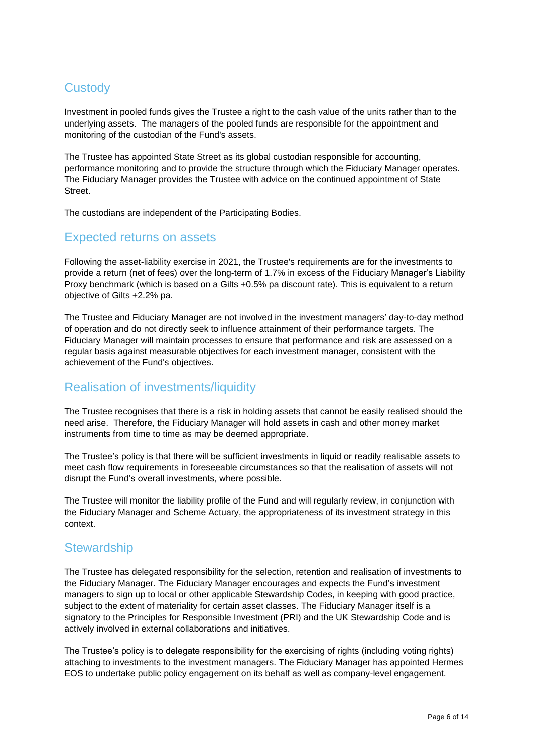## **Custody**

Investment in pooled funds gives the Trustee a right to the cash value of the units rather than to the underlying assets. The managers of the pooled funds are responsible for the appointment and monitoring of the custodian of the Fund's assets.

The Trustee has appointed State Street as its global custodian responsible for accounting, performance monitoring and to provide the structure through which the Fiduciary Manager operates. The Fiduciary Manager provides the Trustee with advice on the continued appointment of State Street.

The custodians are independent of the Participating Bodies.

### Expected returns on assets

Following the asset-liability exercise in 2021, the Trustee's requirements are for the investments to provide a return (net of fees) over the long-term of 1.7% in excess of the Fiduciary Manager's Liability Proxy benchmark (which is based on a Gilts +0.5% pa discount rate). This is equivalent to a return objective of Gilts +2.2% pa.

The Trustee and Fiduciary Manager are not involved in the investment managers' day-to-day method of operation and do not directly seek to influence attainment of their performance targets. The Fiduciary Manager will maintain processes to ensure that performance and risk are assessed on a regular basis against measurable objectives for each investment manager, consistent with the achievement of the Fund's objectives.

## Realisation of investments/liquidity

The Trustee recognises that there is a risk in holding assets that cannot be easily realised should the need arise. Therefore, the Fiduciary Manager will hold assets in cash and other money market instruments from time to time as may be deemed appropriate.

The Trustee's policy is that there will be sufficient investments in liquid or readily realisable assets to meet cash flow requirements in foreseeable circumstances so that the realisation of assets will not disrupt the Fund's overall investments, where possible.

The Trustee will monitor the liability profile of the Fund and will regularly review, in conjunction with the Fiduciary Manager and Scheme Actuary, the appropriateness of its investment strategy in this context.

## **Stewardship**

The Trustee has delegated responsibility for the selection, retention and realisation of investments to the Fiduciary Manager. The Fiduciary Manager encourages and expects the Fund's investment managers to sign up to local or other applicable Stewardship Codes, in keeping with good practice, subject to the extent of materiality for certain asset classes. The Fiduciary Manager itself is a signatory to the Principles for Responsible Investment (PRI) and the UK Stewardship Code and is actively involved in external collaborations and initiatives.

The Trustee's policy is to delegate responsibility for the exercising of rights (including voting rights) attaching to investments to the investment managers. The Fiduciary Manager has appointed Hermes EOS to undertake public policy engagement on its behalf as well as company-level engagement.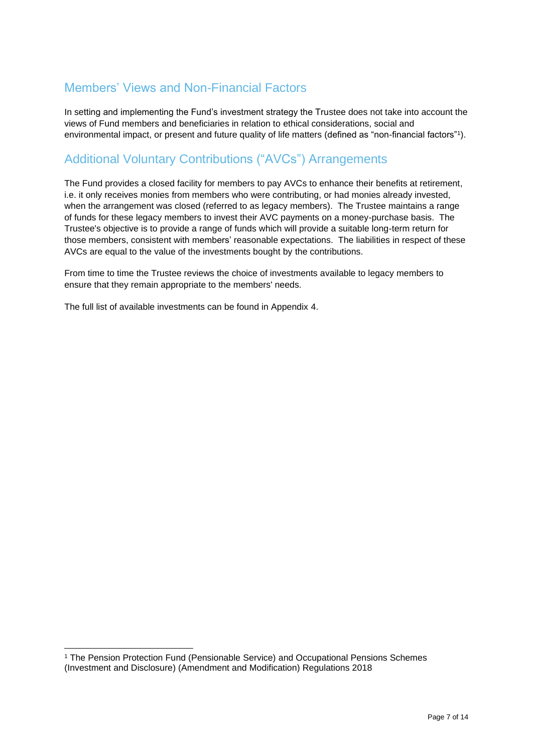## Members' Views and Non-Financial Factors

In setting and implementing the Fund's investment strategy the Trustee does not take into account the views of Fund members and beneficiaries in relation to ethical considerations, social and environmental impact, or present and future quality of life matters (defined as "non-financial factors"<sup>1</sup> ).

## Additional Voluntary Contributions ("AVCs") Arrangements

The Fund provides a closed facility for members to pay AVCs to enhance their benefits at retirement, i.e. it only receives monies from members who were contributing, or had monies already invested, when the arrangement was closed (referred to as legacy members). The Trustee maintains a range of funds for these legacy members to invest their AVC payments on a money-purchase basis. The Trustee's objective is to provide a range of funds which will provide a suitable long-term return for those members, consistent with members' reasonable expectations. The liabilities in respect of these AVCs are equal to the value of the investments bought by the contributions.

From time to time the Trustee reviews the choice of investments available to legacy members to ensure that they remain appropriate to the members' needs.

The full list of available investments can be found in Appendix 4.

<sup>1</sup> The Pension Protection Fund (Pensionable Service) and Occupational Pensions Schemes (Investment and Disclosure) (Amendment and Modification) Regulations 2018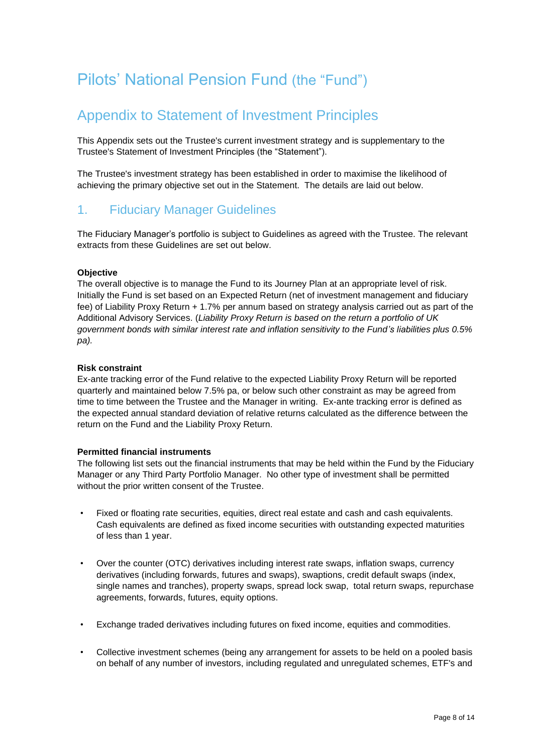# Pilots' National Pension Fund (the "Fund")

## Appendix to Statement of Investment Principles

This Appendix sets out the Trustee's current investment strategy and is supplementary to the Trustee's Statement of Investment Principles (the "Statement").

The Trustee's investment strategy has been established in order to maximise the likelihood of achieving the primary objective set out in the Statement. The details are laid out below.

### 1. Fiduciary Manager Guidelines

The Fiduciary Manager's portfolio is subject to Guidelines as agreed with the Trustee. The relevant extracts from these Guidelines are set out below.

#### **Objective**

The overall objective is to manage the Fund to its Journey Plan at an appropriate level of risk. Initially the Fund is set based on an Expected Return (net of investment management and fiduciary fee) of Liability Proxy Return + 1.7% per annum based on strategy analysis carried out as part of the Additional Advisory Services. (*Liability Proxy Return is based on the return a portfolio of UK government bonds with similar interest rate and inflation sensitivity to the Fund's liabilities plus 0.5% pa).*

#### **Risk constraint**

Ex-ante tracking error of the Fund relative to the expected Liability Proxy Return will be reported quarterly and maintained below 7.5% pa, or below such other constraint as may be agreed from time to time between the Trustee and the Manager in writing. Ex-ante tracking error is defined as the expected annual standard deviation of relative returns calculated as the difference between the return on the Fund and the Liability Proxy Return.

#### **Permitted financial instruments**

The following list sets out the financial instruments that may be held within the Fund by the Fiduciary Manager or any Third Party Portfolio Manager. No other type of investment shall be permitted without the prior written consent of the Trustee.

- Fixed or floating rate securities, equities, direct real estate and cash and cash equivalents. Cash equivalents are defined as fixed income securities with outstanding expected maturities of less than 1 year.
- Over the counter (OTC) derivatives including interest rate swaps, inflation swaps, currency derivatives (including forwards, futures and swaps), swaptions, credit default swaps (index, single names and tranches), property swaps, spread lock swap, total return swaps, repurchase agreements, forwards, futures, equity options.
- Exchange traded derivatives including futures on fixed income, equities and commodities.
- Collective investment schemes (being any arrangement for assets to be held on a pooled basis on behalf of any number of investors, including regulated and unregulated schemes, ETF's and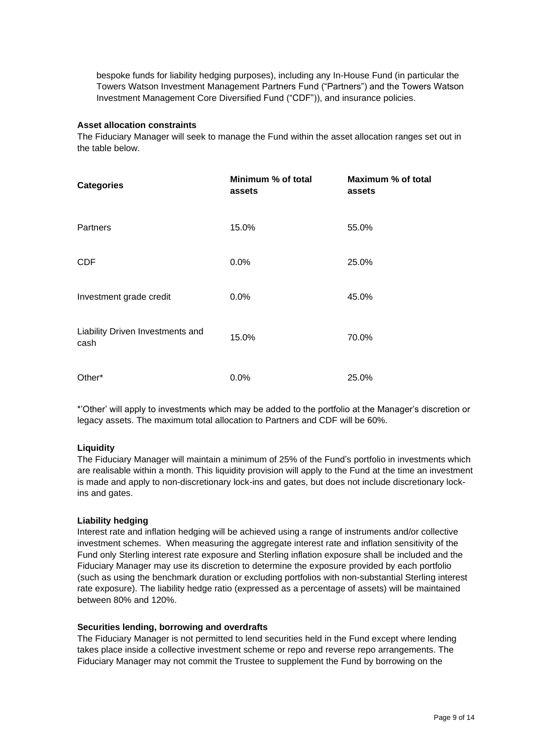bespoke funds for liability hedging purposes), including any In-House Fund (in particular the Towers Watson Investment Management Partners Fund ("Partners") and the Towers Watson Investment Management Core Diversified Fund ("CDF")), and insurance policies.

#### **Asset allocation constraints**

The Fiduciary Manager will seek to manage the Fund within the asset allocation ranges set out in the table below.

| <b>Categories</b>                        | Minimum % of total<br>assets | Maximum % of total<br>assets |
|------------------------------------------|------------------------------|------------------------------|
| Partners                                 | 15.0%                        | 55.0%                        |
| <b>CDF</b>                               | 0.0%                         | 25.0%                        |
| Investment grade credit                  | 0.0%                         | 45.0%                        |
| Liability Driven Investments and<br>cash | 15.0%                        | 70.0%                        |
| Other*                                   | 0.0%                         | 25.0%                        |

\*'Other' will apply to investments which may be added to the portfolio at the Manager's discretion or legacy assets. The maximum total allocation to Partners and CDF will be 60%.

#### **Liquidity**

The Fiduciary Manager will maintain a minimum of 25% of the Fund's portfolio in investments which are realisable within a month. This liquidity provision will apply to the Fund at the time an investment is made and apply to non-discretionary lock-ins and gates, but does not include discretionary lockins and gates.

#### **Liability hedging**

Interest rate and inflation hedging will be achieved using a range of instruments and/or collective investment schemes. When measuring the aggregate interest rate and inflation sensitivity of the Fund only Sterling interest rate exposure and Sterling inflation exposure shall be included and the Fiduciary Manager may use its discretion to determine the exposure provided by each portfolio (such as using the benchmark duration or excluding portfolios with non-substantial Sterling interest rate exposure). The liability hedge ratio (expressed as a percentage of assets) will be maintained between 80% and 120%.

#### **Securities lending, borrowing and overdrafts**

The Fiduciary Manager is not permitted to lend securities held in the Fund except where lending takes place inside a collective investment scheme or repo and reverse repo arrangements. The Fiduciary Manager may not commit the Trustee to supplement the Fund by borrowing on the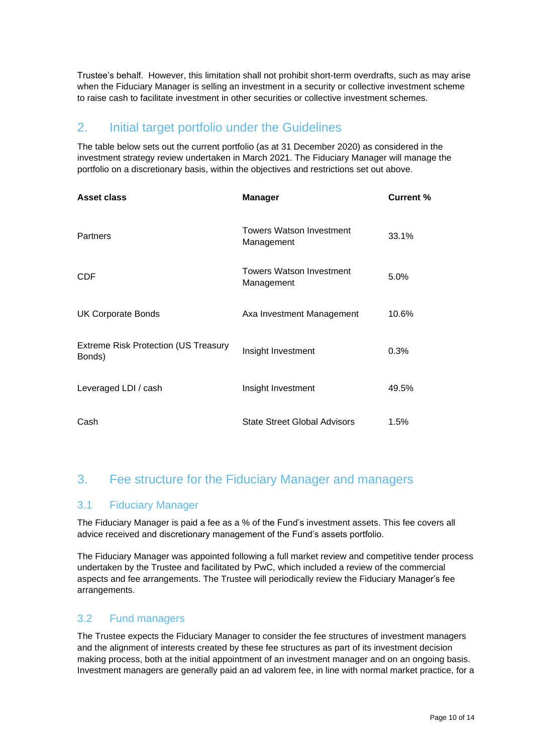Trustee's behalf. However, this limitation shall not prohibit short-term overdrafts, such as may arise when the Fiduciary Manager is selling an investment in a security or collective investment scheme to raise cash to facilitate investment in other securities or collective investment schemes.

## 2. Initial target portfolio under the Guidelines

The table below sets out the current portfolio (as at 31 December 2020) as considered in the investment strategy review undertaken in March 2021. The Fiduciary Manager will manage the portfolio on a discretionary basis, within the objectives and restrictions set out above.

| Asset class                                           | <b>Manager</b>                                | Current % |
|-------------------------------------------------------|-----------------------------------------------|-----------|
| <b>Partners</b>                                       | <b>Towers Watson Investment</b><br>Management | 33.1%     |
| <b>CDF</b>                                            | <b>Towers Watson Investment</b><br>Management | 5.0%      |
| <b>UK Corporate Bonds</b>                             | Axa Investment Management                     | 10.6%     |
| <b>Extreme Risk Protection (US Treasury</b><br>Bonds) | Insight Investment                            | 0.3%      |
| Leveraged LDI / cash                                  | Insight Investment                            | 49.5%     |
| Cash                                                  | <b>State Street Global Advisors</b>           | 1.5%      |

## 3. Fee structure for the Fiduciary Manager and managers

### 3.1 Fiduciary Manager

The Fiduciary Manager is paid a fee as a % of the Fund's investment assets. This fee covers all advice received and discretionary management of the Fund's assets portfolio.

The Fiduciary Manager was appointed following a full market review and competitive tender process undertaken by the Trustee and facilitated by PwC, which included a review of the commercial aspects and fee arrangements. The Trustee will periodically review the Fiduciary Manager's fee arrangements.

### 3.2 Fund managers

The Trustee expects the Fiduciary Manager to consider the fee structures of investment managers and the alignment of interests created by these fee structures as part of its investment decision making process, both at the initial appointment of an investment manager and on an ongoing basis. Investment managers are generally paid an ad valorem fee, in line with normal market practice, for a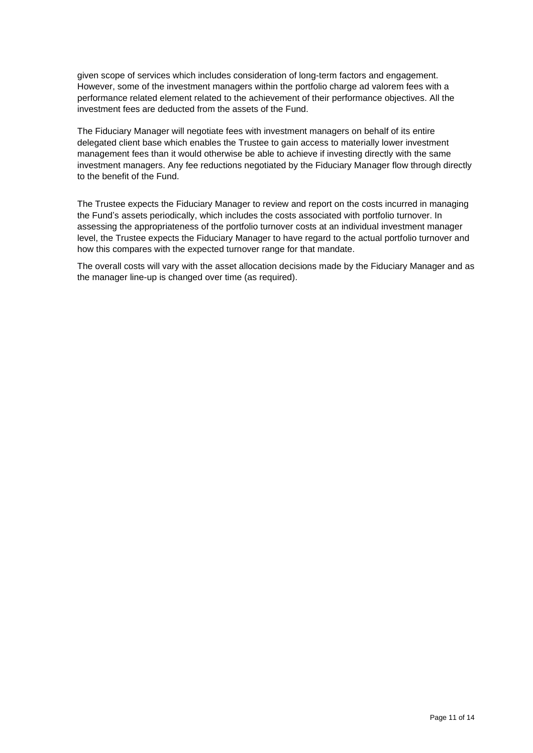given scope of services which includes consideration of long-term factors and engagement. However, some of the investment managers within the portfolio charge ad valorem fees with a performance related element related to the achievement of their performance objectives. All the investment fees are deducted from the assets of the Fund.

The Fiduciary Manager will negotiate fees with investment managers on behalf of its entire delegated client base which enables the Trustee to gain access to materially lower investment management fees than it would otherwise be able to achieve if investing directly with the same investment managers. Any fee reductions negotiated by the Fiduciary Manager flow through directly to the benefit of the Fund.

The Trustee expects the Fiduciary Manager to review and report on the costs incurred in managing the Fund's assets periodically, which includes the costs associated with portfolio turnover. In assessing the appropriateness of the portfolio turnover costs at an individual investment manager level, the Trustee expects the Fiduciary Manager to have regard to the actual portfolio turnover and how this compares with the expected turnover range for that mandate.

The overall costs will vary with the asset allocation decisions made by the Fiduciary Manager and as the manager line-up is changed over time (as required).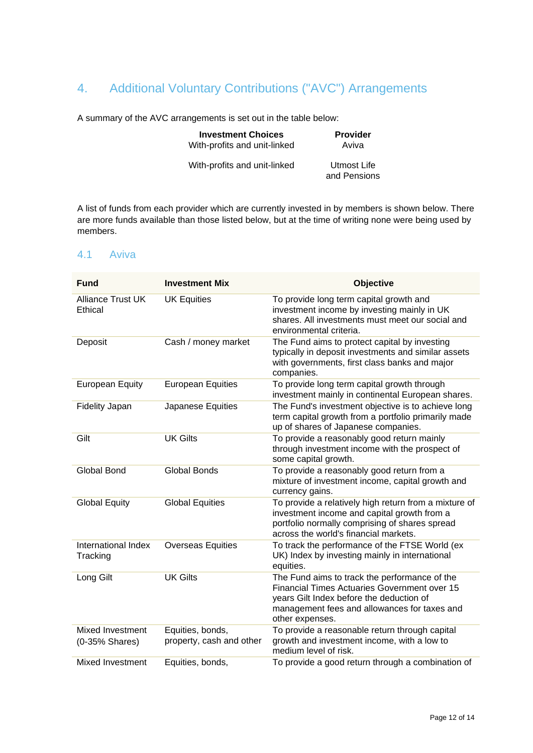## 4. Additional Voluntary Contributions ("AVC") Arrangements

A summary of the AVC arrangements is set out in the table below:

| <b>Investment Choices</b>    | <b>Provider</b>             |
|------------------------------|-----------------------------|
| With-profits and unit-linked | Aviva                       |
| With-profits and unit-linked | Utmost Life<br>and Pensions |

A list of funds from each provider which are currently invested in by members is shown below. There are more funds available than those listed below, but at the time of writing none were being used by members.

#### 4.1 Aviva

| <b>Fund</b>                               | <b>Investment Mix</b>                        | Objective                                                                                                                                                                                                    |
|-------------------------------------------|----------------------------------------------|--------------------------------------------------------------------------------------------------------------------------------------------------------------------------------------------------------------|
| <b>Alliance Trust UK</b><br>Ethical       | <b>UK Equities</b>                           | To provide long term capital growth and<br>investment income by investing mainly in UK<br>shares. All investments must meet our social and<br>environmental criteria.                                        |
| Deposit                                   | Cash / money market                          | The Fund aims to protect capital by investing<br>typically in deposit investments and similar assets<br>with governments, first class banks and major<br>companies.                                          |
| <b>European Equity</b>                    | <b>European Equities</b>                     | To provide long term capital growth through<br>investment mainly in continental European shares.                                                                                                             |
| Fidelity Japan                            | Japanese Equities                            | The Fund's investment objective is to achieve long<br>term capital growth from a portfolio primarily made<br>up of shares of Japanese companies.                                                             |
| Gilt                                      | <b>UK Gilts</b>                              | To provide a reasonably good return mainly<br>through investment income with the prospect of<br>some capital growth.                                                                                         |
| <b>Global Bond</b>                        | <b>Global Bonds</b>                          | To provide a reasonably good return from a<br>mixture of investment income, capital growth and<br>currency gains.                                                                                            |
| <b>Global Equity</b>                      | <b>Global Equities</b>                       | To provide a relatively high return from a mixture of<br>investment income and capital growth from a<br>portfolio normally comprising of shares spread<br>across the world's financial markets.              |
| International Index<br>Tracking           | <b>Overseas Equities</b>                     | To track the performance of the FTSE World (ex<br>UK) Index by investing mainly in international<br>equities.                                                                                                |
| Long Gilt                                 | <b>UK Gilts</b>                              | The Fund aims to track the performance of the<br>Financial Times Actuaries Government over 15<br>years Gilt Index before the deduction of<br>management fees and allowances for taxes and<br>other expenses. |
| <b>Mixed Investment</b><br>(0-35% Shares) | Equities, bonds,<br>property, cash and other | To provide a reasonable return through capital<br>growth and investment income, with a low to<br>medium level of risk.                                                                                       |
| Mixed Investment                          | Equities, bonds,                             | To provide a good return through a combination of                                                                                                                                                            |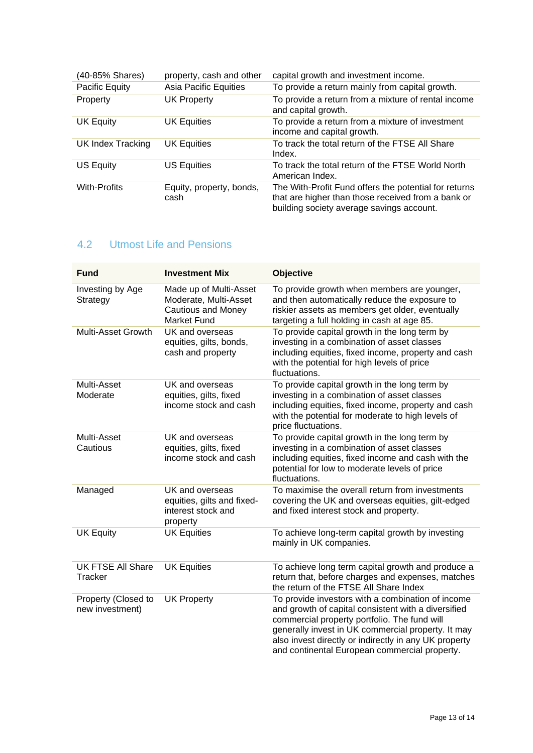| (40-85% Shares)          | property, cash and other         | capital growth and investment income.                                                                                                                    |
|--------------------------|----------------------------------|----------------------------------------------------------------------------------------------------------------------------------------------------------|
| Pacific Equity           | Asia Pacific Equities            | To provide a return mainly from capital growth.                                                                                                          |
| Property                 | <b>UK Property</b>               | To provide a return from a mixture of rental income<br>and capital growth.                                                                               |
| <b>UK Equity</b>         | <b>UK Equities</b>               | To provide a return from a mixture of investment<br>income and capital growth.                                                                           |
| <b>UK Index Tracking</b> | <b>UK Equities</b>               | To track the total return of the FTSE All Share<br>Index.                                                                                                |
| US Equity                | <b>US Equities</b>               | To track the total return of the FTSE World North<br>American Index.                                                                                     |
| <b>With-Profits</b>      | Equity, property, bonds,<br>cash | The With-Profit Fund offers the potential for returns<br>that are higher than those received from a bank or<br>building society average savings account. |

## 4.2 Utmost Life and Pensions

| <b>Fund</b>                            | <b>Investment Mix</b>                                                                              | Objective                                                                                                                                                                                                                                                                                                                |
|----------------------------------------|----------------------------------------------------------------------------------------------------|--------------------------------------------------------------------------------------------------------------------------------------------------------------------------------------------------------------------------------------------------------------------------------------------------------------------------|
| Investing by Age<br>Strategy           | Made up of Multi-Asset<br>Moderate, Multi-Asset<br><b>Cautious and Money</b><br><b>Market Fund</b> | To provide growth when members are younger,<br>and then automatically reduce the exposure to<br>riskier assets as members get older, eventually<br>targeting a full holding in cash at age 85.                                                                                                                           |
| Multi-Asset Growth                     | UK and overseas<br>equities, gilts, bonds,<br>cash and property                                    | To provide capital growth in the long term by<br>investing in a combination of asset classes<br>including equities, fixed income, property and cash<br>with the potential for high levels of price<br>fluctuations.                                                                                                      |
| Multi-Asset<br>Moderate                | UK and overseas<br>equities, gilts, fixed<br>income stock and cash                                 | To provide capital growth in the long term by<br>investing in a combination of asset classes<br>including equities, fixed income, property and cash<br>with the potential for moderate to high levels of<br>price fluctuations.                                                                                          |
| Multi-Asset<br>Cautious                | UK and overseas<br>equities, gilts, fixed<br>income stock and cash                                 | To provide capital growth in the long term by<br>investing in a combination of asset classes<br>including equities, fixed income and cash with the<br>potential for low to moderate levels of price<br>fluctuations.                                                                                                     |
| Managed                                | UK and overseas<br>equities, gilts and fixed-<br>interest stock and<br>property                    | To maximise the overall return from investments<br>covering the UK and overseas equities, gilt-edged<br>and fixed interest stock and property.                                                                                                                                                                           |
| <b>UK Equity</b>                       | <b>UK Equities</b>                                                                                 | To achieve long-term capital growth by investing<br>mainly in UK companies.                                                                                                                                                                                                                                              |
| UK FTSE All Share<br>Tracker           | <b>UK Equities</b>                                                                                 | To achieve long term capital growth and produce a<br>return that, before charges and expenses, matches<br>the return of the FTSE All Share Index                                                                                                                                                                         |
| Property (Closed to<br>new investment) | <b>UK Property</b>                                                                                 | To provide investors with a combination of income<br>and growth of capital consistent with a diversified<br>commercial property portfolio. The fund will<br>generally invest in UK commercial property. It may<br>also invest directly or indirectly in any UK property<br>and continental European commercial property. |